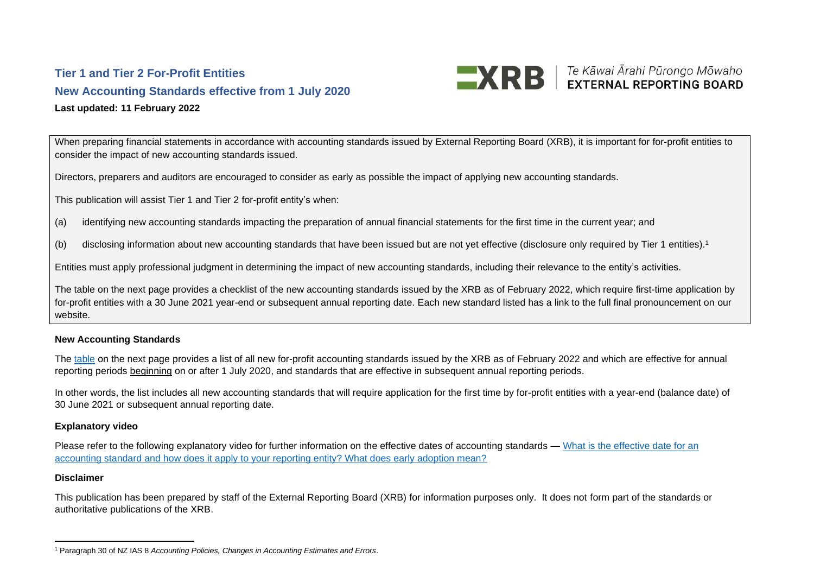## **Tier 1 and Tier 2 For-Profit Entities New Accounting Standards effective from 1 July 2020 Last updated: 11 February 2022**

When preparing financial statements in accordance with accounting standards issued by External Reporting Board (XRB), it is important for for-profit entities to consider the impact of new accounting standards issued.

**EXRE** Fe Kāwai Ārahi Pūrongo Mōwaho

Directors, preparers and auditors are encouraged to consider as early as possible the impact of applying new accounting standards.

This publication will assist Tier 1 and Tier 2 for-profit entity's when:

- (a) identifying new accounting standards impacting the preparation of annual financial statements for the first time in the current year; and
- (b) disclosing information about new accounting standards that have been issued but are not yet effective (disclosure only required by Tier 1 entities).<sup>1</sup>

Entities must apply professional judgment in determining the impact of new accounting standards, including their relevance to the entity's activities.

The table on the next page provides a checklist of the new accounting standards issued by the XRB as of February 2022, which require first-time application by for-profit entities with a 30 June 2021 year-end or subsequent annual reporting date. Each new standard listed has a link to the full final pronouncement on our website.

## **New Accounting Standards**

The [table](#page-1-0) on the next page provides a list of all new for-profit accounting standards issued by the XRB as of February 2022 and which are effective for annual reporting periods beginning on or after 1 July 2020, and standards that are effective in subsequent annual reporting periods.

In other words, the list includes all new accounting standards that will require application for the first time by for-profit entities with a year-end (balance date) of 30 June 2021 or subsequent annual reporting date.

## **Explanatory video**

Please refer to the following explanatory video for further information on the effective dates of accounting standards — What is the effective date for an [accounting standard and how does it apply to your reporting entity? What does early adoption mean?](https://www.youtube.com/watch?v=Y0G_lpQHkCA&feature=emb_title)

## **Disclaimer**

This publication has been prepared by staff of the External Reporting Board (XRB) for information purposes only. It does not form part of the standards or authoritative publications of the XRB.

<sup>1</sup> Paragraph 30 of NZ IAS 8 *Accounting Policies, Changes in Accounting Estimates and Errors*.